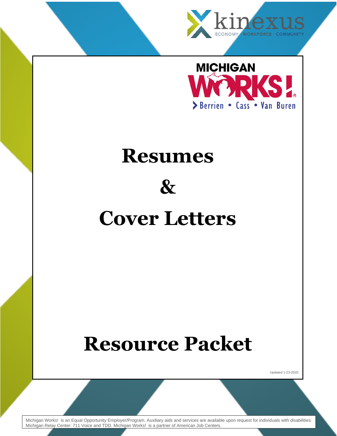



# **Resumes**

# **&**

# **Cover Letters**

# **Resource Packet**

Updated 1-23-2020

Michigan Works! is an Equal Opportunity Employer/Program. Auxiliary aids and services are available upon request for individuals with disabilities. Michigan Relay Center: 711 Voice and TDD. Michigan Works! is a partner of American Job Centers.

.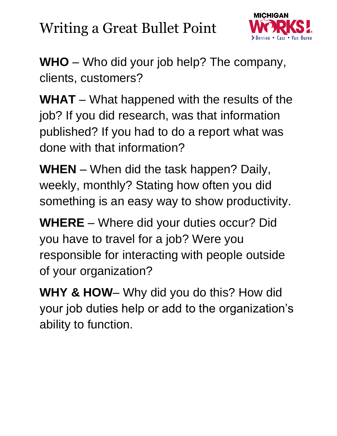# Writing a Great Bullet Point



**WHO** – Who did your job help? The company, clients, customers?

**WHAT** – What happened with the results of the job? If you did research, was that information published? If you had to do a report what was done with that information?

**WHEN** – When did the task happen? Daily, weekly, monthly? Stating how often you did something is an easy way to show productivity.

**WHERE** – Where did your duties occur? Did you have to travel for a job? Were you responsible for interacting with people outside of your organization?

**WHY & HOW**– Why did you do this? How did your job duties help or add to the organization's ability to function.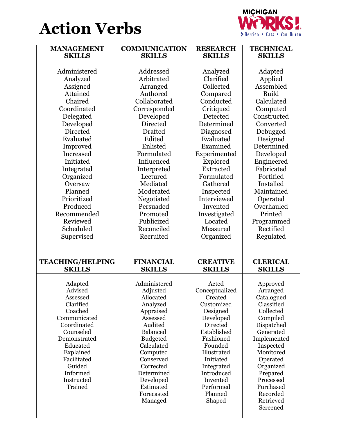



| <b>MANAGEMENT</b>         | <b>COMMUNICATION</b>          | <b>RESEARCH</b>          | <b>TECHNICAL</b>         |
|---------------------------|-------------------------------|--------------------------|--------------------------|
| <b>SKILLS</b>             | <b>SKILLS</b>                 | <b>SKILLS</b>            | <b>SKILLS</b>            |
|                           |                               |                          |                          |
| Administered              | Addressed                     | Analyzed                 | Adapted                  |
| Analyzed                  | Arbitrated                    | Clarified                | Applied                  |
| Assigned                  | Arranged                      | Collected                | Assembled                |
| Attained                  | Authored                      | Compared                 | <b>Build</b>             |
| Chaired                   | Collaborated                  | Conducted                | Calculated               |
| Coordinated               | Corresponded                  | Critiqued                | Computed                 |
| Delegated                 | Developed                     | Detected                 | Constructed              |
| Developed                 | Directed                      | Determined               | Converted                |
| Directed                  | <b>Drafted</b>                | Diagnosed                | Debugged                 |
| Evaluated                 | Edited                        | Evaluated                | Designed                 |
| Improved                  | Enlisted                      | Examined                 | Determined               |
| Increased                 | Formulated                    | Experimented             | Developed                |
| Initiated                 | Influenced                    | Explored                 | Engineered               |
| Integrated                | Interpreted                   | Extracted                | Fabricated               |
| Organized                 | Lectured                      | Formulated               | Fortified                |
| Oversaw                   | Mediated                      | Gathered                 | Installed                |
| Planned                   | Moderated                     | Inspected                | Maintained               |
| Prioritized               | Negotiated                    | Interviewed              | Operated                 |
| Produced                  | Persuaded                     | Invented                 | Overhauled               |
| Recommended               | Promoted                      | Investigated             | Printed                  |
| Reviewed                  | Publicized                    | Located                  | Programmed               |
| Scheduled                 | Reconciled                    | Measured                 | Rectified                |
| Supervised                | Recruited                     | Organized                | Regulated                |
|                           |                               |                          |                          |
|                           |                               |                          |                          |
| <b>TEACHING/HELPING</b>   | <b>FINANCIAL</b>              | <b>CREATIVE</b>          | <b>CLERICAL</b>          |
| <b>SKILLS</b>             | <b>SKILLS</b>                 | <b>SKILLS</b>            | <b>SKILLS</b>            |
|                           |                               |                          |                          |
| Adapted                   | Administered                  | Acted                    | Approved                 |
| Advised                   | Adjusted                      | Conceptualized           | Arranged                 |
| Assessed                  | Allocated                     | Created                  | Catalogued               |
| Clarified                 | Analyzed                      | Customized               | Classified               |
| Coached                   | Appraised                     | Designed                 | Collected                |
| Communicated              | Assessed                      | Developed                | Compiled                 |
| Coordinated               | Audited                       | Directed                 | Dispatched               |
| Counseled<br>Demonstrated | <b>Balanced</b>               | Established<br>Fashioned | Generated                |
| Educated                  | <b>Budgeted</b><br>Calculated | Founded                  | Implemented<br>Inspected |
| Explained                 | Computed                      | Illustrated              | Monitored                |
| Facilitated               | Conserved                     | Initiated                | Operated                 |
| Guided                    | Corrected                     | Integrated               | Organized                |
| Informed                  | Determined                    | Introduced               | Prepared                 |
| Instructed                | Developed                     | Invented                 | Processed                |
| Trained                   | Estimated                     | Performed                | Purchased                |
|                           | Forecasted                    | Planned                  | Recorded                 |
|                           | Managed                       | Shaped                   | Retrieved                |
|                           |                               |                          | Screened                 |
|                           |                               |                          |                          |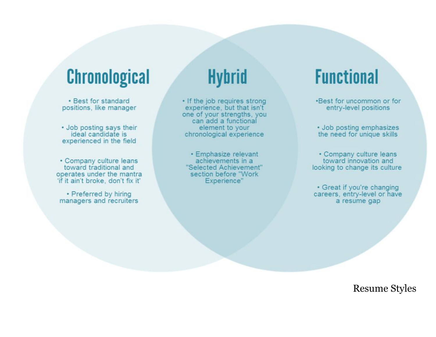# **Chronological**

• Best for standard positions, like manager

• Job posting says their ideal candidate is experienced in the field

• Company culture leans toward traditional and operates under the mantra 'if it ain't broke, don't fix it'

• Preferred by hiring managers and recruiters

# **Hybrid**

• If the job requires strong experience, but that isn't one of your strengths, you can add a functional element to your chronological experience

• Emphasize relevant achievements in a "Selected Achievement" section before "Work Experience"

# **Functional**

.Best for uncommon or for entry-level positions

• Job posting emphasizes the need for unique skills

• Company culture leans toward innovation and looking to change its culture

• Great if you're changing careers, entry-level or have a resume gap

Resume Styles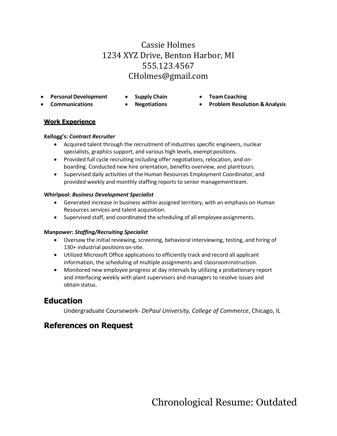## Cassie Holmes 1234 XYZ Drive, Benton Harbor, MI 555.123.4567 [CHolmes@gmail.com](mailto:CHolmes@gmail.com)

- **PersonalDevelopment Supply Chain Team Coaching**
	-
- 
- 
- 
- **Communications Negotiations Problem Resolution &Analysis**

### **Work Experience**

### **Kellogg's:** *Contract Recruiter*

- Acquired talent through the recruitment of industries specific engineers, nuclear specialists, graphics support, and various high levels, exempt positions.
- Provided full cycle recruiting including offer negotiations, relocation, and onboarding. Conducted new hire orientation, benefits overview, and planttours.
- Supervised daily activities of the Human Resources Employment Coordinator, and provided weekly and monthly staffing reports to senior managementteam.

### **Whirlpool:** *Business Development Specialist*

- Generated increase in business within assigned territory, with an emphasis on Human Resources services and talent acquisition.
- Supervised staff, and coordinated the scheduling of all employee assignments.

### **Manpower:** *Staffing/Recruiting Specialist*

- Oversaw the initial reviewing, screening, behavioral interviewing, testing, and hiring of 130+ industrial positions on-site.
- Utilized Microsoft Office applications to efficiently track and record all applicant information, the scheduling of multiple assignments and classroominstruction.
- Monitored new employee progress at day intervals by utilizing a probationary report and interfacing weekly with plant supervisors and managers to resolve issues and obtain status.

## **Education**

Undergraduate Coursework- *DePaul University, College of Commerce*, Chicago, IL

## **References on Request**

Chronological Resume: Outdated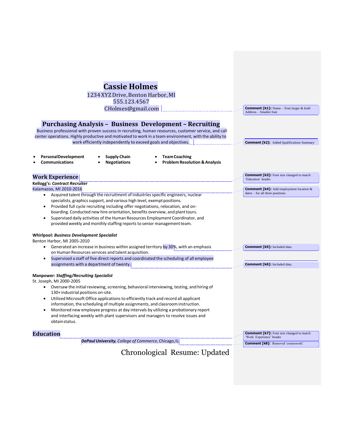| <b>Cassie Holmes</b>                                                                                                                                                   |                                                                        |
|------------------------------------------------------------------------------------------------------------------------------------------------------------------------|------------------------------------------------------------------------|
| 1234 XYZ Drive, Benton Harbor, MI                                                                                                                                      |                                                                        |
| 555.123.4567                                                                                                                                                           |                                                                        |
| CHolmes@gmail.com                                                                                                                                                      | <b>Comment [k1]:</b> Name – Font larger & bold                         |
|                                                                                                                                                                        | Address - Smaller font                                                 |
| <b>Purchasing Analysis - Business Development - Recruiting</b>                                                                                                         |                                                                        |
| Business professional with proven success in recruiting, human resources, customer service, and call                                                                   |                                                                        |
| center operations. Highly productive and motivated to work in a team environment, with the ability to                                                                  |                                                                        |
| work efficiently independently to exceed goals and objectives.                                                                                                         | <b>Comment [k2]:</b> Added Qualifications Summary                      |
| <b>Personal Development</b><br><b>Supply Chain</b><br><b>Team Coaching</b><br><b>Communications</b><br><b>Negotiations</b><br><b>Problem Resolution &amp; Analysis</b> |                                                                        |
| <b>Work Experience</b>                                                                                                                                                 | <b>Comment [k3]:</b> Font size changed to match<br>'Education' header. |
| <b>Kellogg's: Contract Recruiter</b><br>Kalamazoo, MI 2010-2016                                                                                                        | <b>Comment [k4]:</b> Add employment location &                         |
| Acquired talent through the recruitment of industries specific engineers, nuclear<br>$\bullet$                                                                         | dates - for all three positions.                                       |
| specialists, graphics support, and various high level, exempt positions.                                                                                               |                                                                        |
| Provided full cycle recruiting including offer negotiations, relocation, and on-<br>٠                                                                                  |                                                                        |
| boarding. Conducted new hire orientation, benefits overview, and plant tours.                                                                                          |                                                                        |
| Supervised daily activities of the Human Resources Employment Coordinator, and<br>$\bullet$                                                                            |                                                                        |
| provided weekly and monthly staffing reports to senior management team.                                                                                                |                                                                        |
|                                                                                                                                                                        |                                                                        |
| <b>Whirlpool: Business Development Specialist</b>                                                                                                                      |                                                                        |
| Benton Harbor, MI 2005-2010                                                                                                                                            |                                                                        |
| • Generated an increase in business within assigned territory by 30%, with an emphasis<br>on Human Resources services and talent acquisition.                          | <b>Comment [k5]:</b> Included data.                                    |
| Supervised a staff of five direct reports and coordinated the scheduling of all employee<br>٠                                                                          |                                                                        |
| assignments with a department of twenty.                                                                                                                               | <b>Comment [k6]:</b> Included data.                                    |
|                                                                                                                                                                        |                                                                        |
| <b>Manpower: Staffing/Recruiting Specialist</b>                                                                                                                        |                                                                        |
| St. Joseph, MI 2000-2005                                                                                                                                               |                                                                        |
| Oversaw the initial reviewing, screening, behavioral interviewing, testing, and hiring of<br>$\bullet$                                                                 |                                                                        |
| 130+ industrial positions on-site.                                                                                                                                     |                                                                        |
| Utilized Microsoft Office applications to efficiently track and record all applicant                                                                                   |                                                                        |
| information, the scheduling of multiple assignments, and classroom instruction.                                                                                        |                                                                        |
| Monitored new employee progress at day intervals by utilizing a probationary report                                                                                    |                                                                        |
| and interfacing weekly with plant supervisors and managers to resolve issues and<br>obtainstatus.                                                                      |                                                                        |
| <b>Education</b>                                                                                                                                                       | <b>Comment [k7]:</b> Font size changed to match                        |
| DePaul University, College of Commerce, Chicago, IL                                                                                                                    | 'Work Experience' header.                                              |
|                                                                                                                                                                        | <b>Comment [k8]:</b> Removed 'coursework'.                             |
| Chronological Resume: Updated                                                                                                                                          |                                                                        |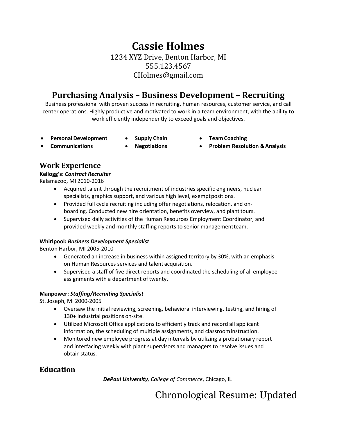## **Cassie Holmes** 1234 XYZ Drive, Benton Harbor, MI 555.123.4567 [CHolmes@gmail.com](mailto:CHolmes@gmail.com)

## **Purchasing Analysis – Business Development – Recruiting**

Business professional with proven success in recruiting, human resources, customer service, and call center operations. Highly productive and motivated to work in a team environment, with the ability to work efficiently independently to exceed goals and objectives.

- **PersonalDevelopment Supply Chain Team Coaching**
	-
- 
- **Communications Negotiations Problem Resolution &Analysis**
	-
- 

## **Work Experience**

### **Kellogg's:** *Contract Recruiter*

Kalamazoo, MI 2010-2016

- Acquired talent through the recruitment of industries specific engineers, nuclear specialists, graphics support, and various high level, exemptpositions.
- Provided full cycle recruiting including offer negotiations, relocation, and onboarding. Conducted new hire orientation, benefits overview, and plant tours.
- Supervised daily activities of the Human Resources Employment Coordinator, and provided weekly and monthly staffing reports to senior managementteam.

### **Whirlpool:** *Business Development Specialist*

Benton Harbor, MI 2005-2010

- Generated an increase in business within assigned territory by 30%, with an emphasis on Human Resources services and talent acquisition.
- Supervised a staff of five direct reports and coordinated the scheduling of all employee assignments with a department of twenty.

### **Manpower:** *Staffing/Recruiting Specialist*

St. Joseph, MI 2000-2005

- Oversaw the initial reviewing, screening, behavioral interviewing, testing, and hiring of 130+ industrial positions on-site.
- Utilized Microsoft Office applications to efficiently track and record all applicant information, the scheduling of multiple assignments, and classroominstruction.
- Monitored new employee progress at day intervals by utilizing a probationary report and interfacing weekly with plant supervisors and managers to resolve issues and obtain status.

## **Education**

*DePaul University, College of Commerce*, Chicago, IL

# Chronological Resume: Updated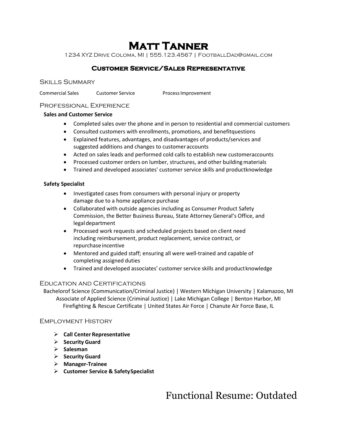## **Matt Tanner**

1234 XYZ Drive Coloma, MI | 555.123.4567 | [FootballDad@gmail.com](mailto:FootballDad@gmail.com)

### **Customer Service/Sales Representative**

Skills Summary

Commercial Sales Customer Service Process Improvement

### Professional Experience

### **Sales and Customer Service**

- Completed sales over the phone and in person to residential and commercial customers
- Consulted customers with enrollments, promotions, and benefitquestions
- Explained features, advantages, and disadvantages of products/services and suggested additions and changes to customer accounts
- Acted on sales leads and performed cold calls to establish new customeraccounts
- Processed customer orders on lumber, structures, and other building materials
- Trained and developed associates' customer service skills and productknowledge

### **Safety Specialist**

- Investigated cases from consumers with personal injury or property damage due to a home appliance purchase
- Collaborated with outside agencies including as Consumer Product Safety Commission, the Better Business Bureau, State Attorney General's Office, and legaldepartment
- Processed work requests and scheduled projects based on client need including reimbursement, product replacement, service contract, or repurchase incentive
- Mentored and guided staff; ensuring all were well-trained and capable of completing assigned duties
- Trained and developed associates' customer service skills and productknowledge

### Education and Certifications

Bachelorof Science (Communication/Criminal Justice) | Western Michigan University | Kalamazoo, MI Associate of Applied Science (Criminal Justice) | Lake Michigan College | Benton Harbor, MI Firefighting & Rescue Certificate | United States Air Force | Chanute Air Force Base, IL

### Employment History

- ➢ **Call Center Representative**
- ➢ **Security Guard**
- ➢ **Salesman**
- ➢ **Security Guard**
- ➢ **Manager-Trainee**
- ➢ **Customer Service & SafetySpecialist**

Functional Resume: Outdated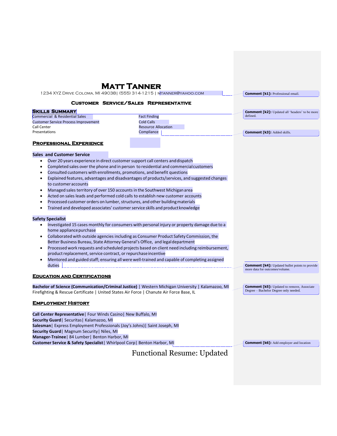### **Matt Tanner**  1234 XYZ Drive Coloma, MI 49038| (555) 314-1215 [| mtanner@yahoo.com](mailto:mtanner@yahoo.com)

**Comment [k1]:** Professional email.

#### **Customer Service/Sales Representative**

| <b>SKILLS SUMMARY</b>                       |                            | <b>Comment [k2]:</b> Updated all 'headers' to be more |
|---------------------------------------------|----------------------------|-------------------------------------------------------|
| Commercial & Residential Sales              | <b>Fact Finding</b>        | defined.                                              |
| <b>Customer Service Process Improvement</b> | Cold Calls                 |                                                       |
| Call Center                                 | <b>Resource Allocation</b> |                                                       |
| Presentations                               | Compliance                 | <b>Comment [k3]:</b> Added skills.                    |
| <b>PROFESSIONAL EXPERIENCE</b>              |                            |                                                       |
| <b>Sales and Customer Service</b>           |                            |                                                       |

- Over 20 years experience in direct customersupport call centers anddispatch
- Completed sales over the phone and in person to residential and commercialcustomers
- Consulted customers with enrollments, promotions, and benefit questions
- Explained features, advantages and disadvantages of products/services, and suggested changes to customer accounts
- Managed sales territory of over 150 accounts in the Southwest Michigan area
- Acted on sales leads and performed cold calls to establish new customer accounts
- Processed customer orders on lumber, structures, and other building materials
- Trained and developed associates' customerservice skills and productknowledge

#### **Safety Specialist**

- Investigated 15 cases monthly for consumers with personal injury or property damage due to a home appliancepurchase
- Collaborated with outside agencies including as Consumer Product Safety Commission, the Better Business Bureau, State Attorney General's Office, and legaldepartment
- Processed work requests and scheduled projects based on client need including reimbursement, product replacement, service contract, or repurchase incentive
- Mentored and guided staff; ensuring all were well-trained and capable of completing assigned duties

#### **Education and Certifications**

**Bachelor of Science (Communication/Criminal Justice)** | Western Michigan University | Kalamazoo, MI Firefighting & Rescue Certificate | United States Air Force | Chanute Air Force Base, IL

#### **Employment History**

**Call Center Representative**| Four Winds Casino| New Buffalo, MI **Security Guard**| Securitas| Kalamazoo, MI **Salesman**| Express Employment Professionals (Joy's Johns)| Saint Joseph, MI **Security Guard**| Magnum Security| Niles, MI **Manager-Trainee**| 84 Lumber| Benton Harbor, MI **Customer Service & Safety Specialist**| Whirlpool Corp| Benton Harbor, MI

**Comment [k6]:** Add employer and location

**Comment [k4]:** Updated bullet points to provide

**Comment [k5]:** Updated to remove, Associate Degree – Bachelor Degree only needed.

more data for outcomes/volume.

### Functional Resume: Updated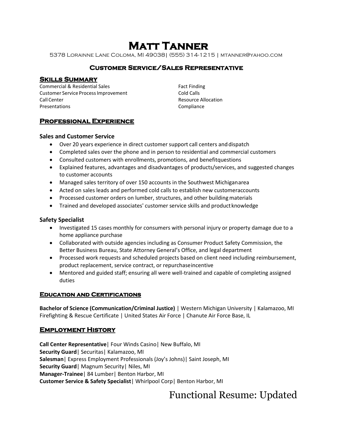# **Matt Tanner**

5378 Lorainne Lane Coloma, MI 49038| (555) 314-1215 [| mtanner@yahoo.com](mailto:mtanner@yahoo.com)

### **Customer Service/Sales Representative**

### **Skills Summary**

Commercial & Residential Sales Customer Service ProcessImprovement Call Center Presentations

Fact Finding Cold Calls Resource Allocation Compliance

### **Professional Experience**

### **Sales and Customer Service**

- Over 20 years experience in direct customer support call centers and dispatch
- Completed sales over the phone and in person to residential and commercial customers
- Consulted customers with enrollments, promotions, and benefitquestions
- Explained features, advantages and disadvantages of products/services, and suggested changes to customer accounts
- Managed sales territory of over 150 accounts in the Southwest Michiganarea
- Acted on sales leads and performed cold calls to establish new customeraccounts
- Processed customer orders on lumber, structures, and other building materials
- Trained and developed associates' customer service skills and product knowledge

### **Safety Specialist**

- Investigated 15 cases monthly for consumers with personal injury or property damage due to a home appliance purchase
- Collaborated with outside agencies including as Consumer Product Safety Commission, the Better Business Bureau, State Attorney General's Office, and legal department
- Processed work requests and scheduled projects based on client need including reimbursement, product replacement, service contract, or repurchaseincentive
- Mentored and guided staff; ensuring all were well-trained and capable of completing assigned duties

### **Education and Certifications**

**Bachelor of Science (Communication/Criminal Justice)** | Western Michigan University | Kalamazoo, MI Firefighting & Rescue Certificate | United States Air Force | Chanute Air Force Base, IL

### **Employment History**

**Call Center Representative**| Four Winds Casino| New Buffalo, MI **Security Guard**| Securitas| Kalamazoo, MI **Salesman**| Express Employment Professionals (Joy's Johns)| Saint Joseph, MI **Security Guard**| Magnum Security| Niles, MI **Manager-Trainee**| 84 Lumber| Benton Harbor, MI **Customer Service & Safety Specialist**| Whirlpool Corp| Benton Harbor, MI

Functional Resume: Updated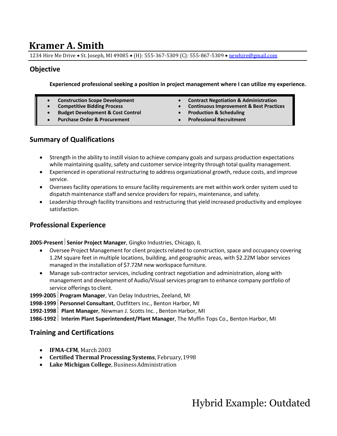## **Kramer A. Smith**

1234 Hire Me Drive • St. Joseph, MI 49085 • (H): 555-367-5309 (C): 555-867-5309 • [newhire@gmail.com](mailto:newhire@gmail.com)

### **Objective**

**Experienced professional seeking a position in project management where I can utilize my experience.**

- 
- 
- **Budget Development & Cost Control Production & Scheduling**
- **Purchase Order & Procurement Professional Recruitment**
- **Construction Scope Development Contract Negotiation & Administration**
	- **Continuous Improvement & Best Practices**
	-
	-

### **Summary of Qualifications**

- Strength in the ability to instill vision to achieve company goals and surpass production expectations while maintaining quality, safety and customer service integrity through total quality management.
- Experienced in operational restructuring to address organizational growth, reduce costs, and improve service.
- Overseesfacility operations to ensure facility requirements are met within work order system used to dispatch maintenance staff and service providers for repairs, maintenance, and safety.
- Leadership through facility transitions and restructuring that yield increased productivity and employee satisfaction.

### **Professional Experience**

### **2005-Present** | Senior Project Manager, Gingko Industries, Chicago, IL

- Oversee Project Management for client projects related to construction, space and occupancy covering 1.2M square feet in multiple locations, building, and geographic areas, with \$2.22M labor services managed in the installation of \$7.72M new workspace furniture.
- Manage sub-contractor services, including contract negotiation and administration, along with management and development of Audio/Visualservices program to enhance company portfolio of service offerings to client.

**1999-2005Program Manager**, Van Delay Industries, Zeeland, MI

**1998-1999Personnel Consultant**, Outfitters Inc., Benton Harbor, MI

**1992-1998 Plant Manager**, Newman J. Scotts Inc. , Benton Harbor, MI

**1986-1992 Interim Plant Superintendent/Plant Manager**, The Muffin Tops Co., Benton Harbor, MI

### **Training and Certifications**

- **IFMA-CFM**, March 2003
- **Certified Thermal Processing Systems**, February,1998
- **Lake Michigan College**, BusinessAdministration

Hybrid Example: Outdated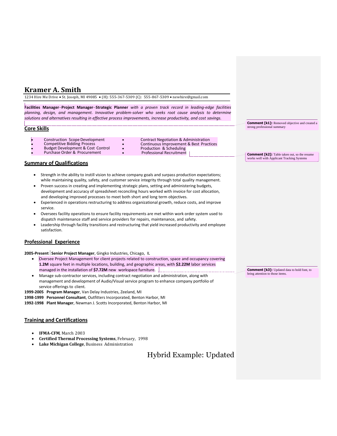### **Kramer A. Smith**

1234 Hire Me Drive • St. Joseph, MI 49085 • (H): 555-367-5309 (C): 555-867-5309 • [newhire@gmail.com](mailto:newhire@gmail.com)

**Facilities Manager**−**Project Manager**−**Strategic Planner** *with a proven track record in leading-edge facilities planning, design, and management. Innovative problem-solver who seeks root cause analysis to determine solutions and alternatives resulting in effective process improvements, increase productivity, and cost savings.*

#### **Core Skills**

- Construction Scope Development Contract Negotiation & Administration<br>
Competitive Bidding Process Continuous Improvement & Best Practi
	-
- Budget Development & Cost Control Production & Scheduling Purchase Order & Procurement
- Continuous Improvement & Best Practices<br>Production & Scheduling
	-

#### **Summary of Qualifications**

- Strength in the ability to instill vision to achieve company goals and surpass production expectations; while maintaining quality, safety, and customer service integrity through total quality management.
- Proven success in creating and implementing strategic plans, setting and administering budgets, development and accuracy of spreadsheet reconciling hours worked with invoice for cost allocation, and developing improved processes to meet both short and long term objectives.
- Experienced in operations restructuring to address organizational growth, reduce costs, and improve service.
- Oversees facility operations to ensure facility requirements are met within work order system used to dispatch maintenance staff and service providers for repairs, maintenance, and safety.
- Leadership through facility transitions and restructuring that yield increased productivity and employee satisfaction.

#### **Professional Experience**

2005-Present Senior Project Manager, Gingko Industries, Chicago, IL

- Oversee Project Management for client projects related to construction, space and occupancy covering **1.2M** square feet in multiple locations, building, and geographic areas, with **\$2.22M** labor services managed in the installation of **\$7.72M** new workspace furniture.
- Manage sub-contractor services, including contract negotiation and administration, along with management and development of Audio/Visual service program to enhance company portfolio of service offerings to client.

**1999-2005 Program Manager**, Van Delay Industries, Zeeland, MI

**1998-1999 Personnel Consultant**, Outfitters Incorporated, Benton Harbor, MI

**1992-1998 Plant Manager**, Newman J. Scotts Incorporated, Benton Harbor, MI

#### **Training and Certifications**

- **IFMA-CFM**, March 2003
- **Certified Thermal Processing Systems**, February, 1998
- **Lake Michigan College**, Business Administration

### Hybrid Example: Updated

**Comment [k3]:** Updated data to bold font, to bring attention to those items.

**Comment [k1]:** Removed objective and created a

**Comment [k2]:** Table taken out, so the resume works well with Applicant Tracking Systems

strong professional summary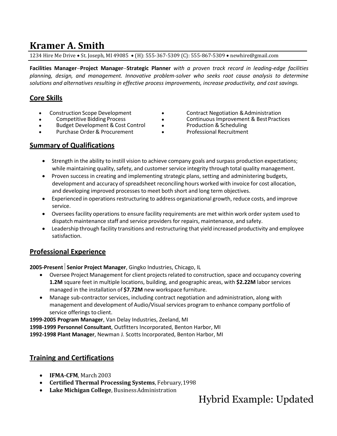## **Kramer A. Smith**

1234 Hire Me Drive • St. Joseph, MI 49085 • (H): 555-367-5309 (C): 555-867-5309 • [newhire@gmail.com](mailto:newhire@gmail.com)

**Facilities Manager**−**Project Manager**−**Strategic Planner** *with a proven track record in leading-edge facilities planning, design, and management. Innovative problem-solver who seeks root cause analysis to determine solutions and alternatives resulting in effective process improvements, increase productivity, and cost savings.*

### **Core Skills**

- 
- 
- Budget Development & Cost Control Production & Scheduling
- Purchase Order & Procurement Professional Recruitment
- Construction Scope Development Contract Negotiation &Administration
	- Competitive Bidding Process Continuous Improvement & BestPractices
		-
		-

### **Summary of Qualifications**

- Strength in the ability to instill vision to achieve company goals and surpass production expectations; while maintaining quality, safety, and customer service integrity through total quality management.
- Proven success in creating and implementing strategic plans, setting and administering budgets, development and accuracy of spreadsheet reconciling hours worked with invoice for cost allocation, and developing improved processes to meet both short and long term objectives.
- Experienced in operations restructuring to address organizational growth, reduce costs, and improve service.
- Overseesfacility operations to ensure facility requirements are met within work order system used to dispatch maintenance staff and service providers for repairs, maintenance, and safety.
- Leadership through facility transitions and restructuring that yield increased productivity and employee satisfaction.

### **Professional Experience**

**2005-Present** Senior Project Manager, Gingko Industries, Chicago, IL

- Oversee Project Management for client projects related to construction, space and occupancy covering **1.2M** square feet in multiple locations, building, and geographic areas, with **\$2.22M** labor services managed in the installation of **\$7.72M** new workspace furniture.
- Manage sub-contractor services, including contract negotiation and administration, along with management and development of Audio/Visualservices program to enhance company portfolio of service offerings to client.

**1999-2005 Program Manager**, Van Delay Industries, Zeeland, MI

**1998-1999 Personnel Consultant**, Outfitters Incorporated, Benton Harbor, MI

**1992-1998 Plant Manager**, Newman J. Scotts Incorporated, Benton Harbor, MI

### **Training and Certifications**

- **IFMA-CFM**, March 2003
- **Certified Thermal Processing Systems**, February,1998
- **Lake Michigan College**, BusinessAdministration

Hybrid Example: Updated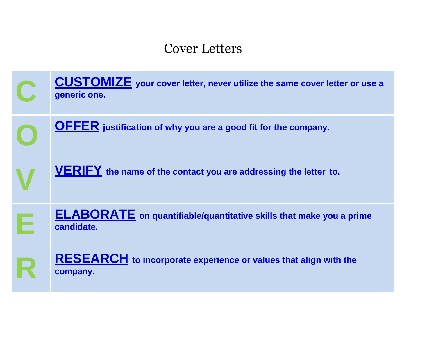# Cover Letters

| <b>CUSTOMIZE</b> your cover letter, never utilize the same cover letter or use a<br>generic one. |
|--------------------------------------------------------------------------------------------------|
| <b>OFFER</b> justification of why you are a good fit for the company.                            |
| <b>VERIFY</b> the name of the contact you are addressing the letter to.                          |
| <b>ELABORATE</b> on quantifiable/quantitative skills that make you a prime<br>candidate.         |
| <b>RESEARCH</b> to incorporate experience or values that align with the<br>company.              |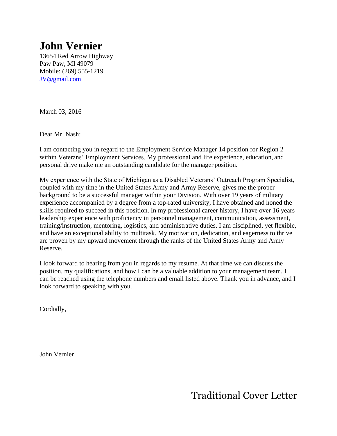# **John Vernier**

13654 Red Arrow Highway Paw Paw, MI 49079 Mobile: (269) 555-1219 [JV@gmail.com](mailto:JV@gmail.com)

March 03, 2016

Dear Mr. Nash:

I am contacting you in regard to the Employment Service Manager 14 position for Region 2 within Veterans' Employment Services. My professional and life experience, education, and personal drive make me an outstanding candidate for the manager position.

My experience with the State of Michigan as a Disabled Veterans' Outreach Program Specialist, coupled with my time in the United States Army and Army Reserve, gives me the proper background to be a successful manager within your Division. With over 19 years of military experience accompanied by a degree from a top-rated university, I have obtained and honed the skills required to succeed in this position. In my professional career history, I have over 16 years leadership experience with proficiency in personnel management, communication, assessment, training/instruction, mentoring, logistics, and administrative duties. I am disciplined, yet flexible, and have an exceptional ability to multitask. My motivation, dedication, and eagerness to thrive are proven by my upward movement through the ranks of the United States Army and Army Reserve.

I look forward to hearing from you in regards to my resume. At that time we can discuss the position, my qualifications, and how I can be a valuable addition to your management team. I can be reached using the telephone numbers and email listed above. Thank you in advance, and I look forward to speaking with you.

Cordially,

John Vernier

Traditional Cover Letter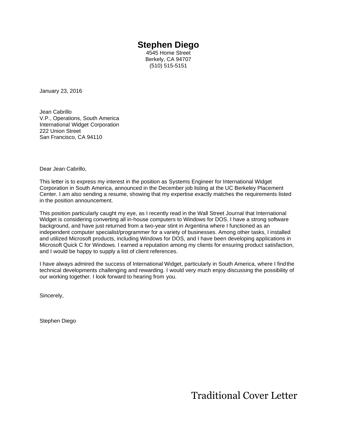## **Stephen Diego**

4545 Home Street Berkely, CA 94707 (510) 515-5151

January 23, 2016

Jean Cabrillo V.P., Operations, South America International Widget Corporation 222 Union Street San Francisco, CA 94110

Dear Jean Cabrillo,

This letter is to express my interest in the position as Systems Engineer for International Widget Corporation in South America, announced in the December job listing at the UC Berkeley Placement Center. I am also sending a resume, showing that my expertise exactly matches the requirements listed in the position announcement.

This position particularly caught my eye, as I recently read in the Wall Street Journal that International Widget is considering converting all in-house computers to Windows for DOS. I have a strong software background, and have just returned from a two-year stint in Argentina where I functioned as an independent computer specialist/programmer for a variety of businesses. Among other tasks, I installed and utilized Microsoft products, including Windows for DOS, and I have been developing applications in Microsoft Quick C for Windows. I earned a reputation among my clients for ensuring product satisfaction, and I would be happy to supply a list of client references.

I have always admired the success of International Widget, particularly in South America, where I findthe technical developments challenging and rewarding. I would very much enjoy discussing the possibility of our working together. I look forward to hearing from you.

Sincerely,

Stephen Diego

Traditional Cover Letter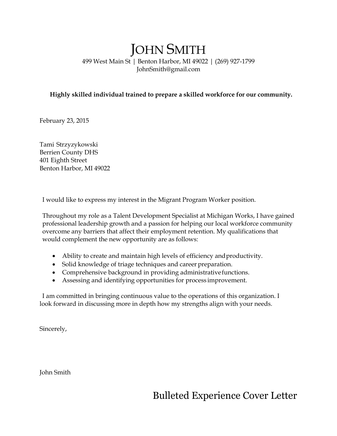# JOHN SMITH

499 West Main St | Benton Harbor, MI 49022 | (269) 927-179[9](mailto:JohnSmith@gmail.com) [JohnSmith@gmail.com](mailto:JohnSmith@gmail.com)

### **Highly skilled individual trained to prepare a skilled workforce for our community.**

February 23, 2015

Tami Strzyzykowski Berrien County DHS 401 Eighth Street Benton Harbor, MI 49022

I would like to express my interest in the Migrant Program Worker position.

Throughout my role as a Talent Development Specialist at Michigan Works, I have gained professional leadership growth and a passion for helping our local workforce community overcome any barriers that affect their employment retention. My qualifications that would complement the new opportunity are as follows:

- Ability to create and maintain high levels of efficiency andproductivity.
- Solid knowledge of triage techniques and career preparation.
- Comprehensive background in providing administrativefunctions.
- Assessing and identifying opportunities for process improvement.

I am committed in bringing continuous value to the operations of this organization. I look forward in discussing more in depth how my strengths align with your needs.

Sincerely,

John Smith

Bulleted Experience Cover Letter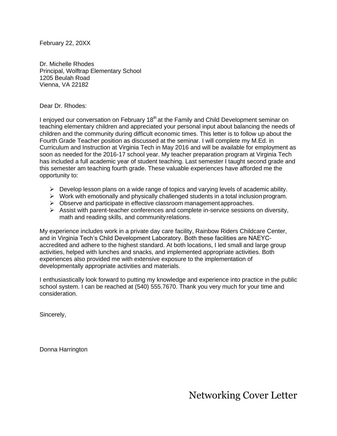February 22, 20XX

Dr. Michelle Rhodes Principal, Wolftrap Elementary School 1205 Beulah Road Vienna, VA 22182

Dear Dr. Rhodes:

I enjoyed our conversation on February 18<sup>th</sup> at the Family and Child Development seminar on teaching elementary children and appreciated your personal input about balancing the needs of children and the community during difficult economic times. This letter is to follow up about the Fourth Grade Teacher position as discussed at the seminar. I will complete my M.Ed. in Curriculum and Instruction at Virginia Tech in May 2016 and will be available for employment as soon as needed for the 2016-17 school year. My teacher preparation program at Virginia Tech has included a full academic year of student teaching. Last semester I taught second grade and this semester am teaching fourth grade. These valuable experiences have afforded me the opportunity to:

- $\triangleright$  Develop lesson plans on a wide range of topics and varying levels of academic ability.
- $\triangleright$  Work with emotionally and physically challenged students in a total inclusion program.
- ➢ Observe and participate in effective classroom managementapproaches.
- $\triangleright$  Assist with parent-teacher conferences and complete in-service sessions on diversity, math and reading skills, and communityrelations.

My experience includes work in a private day care facility, Rainbow Riders Childcare Center, and in Virginia Tech's Child Development Laboratory. Both these facilities are NAEYCaccredited and adhere to the highest standard. At both locations, I led small and large group activities, helped with lunches and snacks, and implemented appropriate activities. Both experiences also provided me with extensive exposure to the implementation of developmentally appropriate activities and materials.

I enthusiastically look forward to putting my knowledge and experience into practice in the public school system. I can be reached at (540) 555.7670. Thank you very much for your time and consideration.

Sincerely,

Donna Harrington

Networking Cover Letter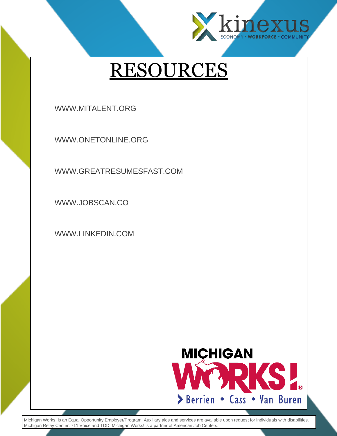

# RESOURCES

[WWW.MITALENT.ORG](http://www.mitalent.org/)

[WWW.ONETONLINE.ORG](http://www.onetonline.org/)

[WWW.GREATRESUMESFAST.COM](http://www.greatresumesfast.com/)

[WWW.JOBSCAN.CO](http://www.jobscan.co/)

[WWW.LINKEDIN.COM](http://www.linkedin.com/)



Michigan Works! is an Equal Opportunity Employer/Program. Auxiliary aids and services are available upon request for individuals with disabilities. Michigan Relay Center: 711 Voice and TDD. Michigan Works! is a partner of American Job Centers.